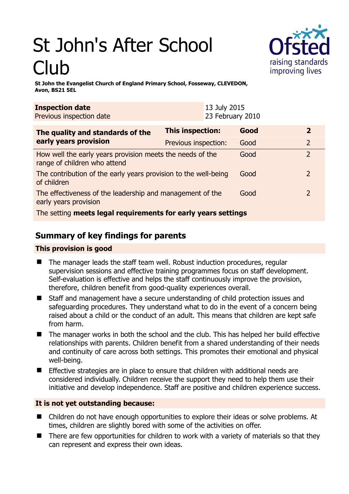# St John's After School Club



**St John the Evangelist Church of England Primary School, Fosseway, CLEVEDON, Avon, BS21 5EL** 

| <b>Inspection date</b><br>Previous inspection date                                        | 13 July 2015<br>23 February 2010 |      |                |
|-------------------------------------------------------------------------------------------|----------------------------------|------|----------------|
| The quality and standards of the<br>early years provision                                 | <b>This inspection:</b>          | Good | $\mathbf{2}$   |
|                                                                                           | Previous inspection:             | Good | $\overline{2}$ |
| How well the early years provision meets the needs of the<br>range of children who attend |                                  | Good | $\overline{2}$ |
| The contribution of the early years provision to the well-being<br>of children            |                                  | Good | $\overline{2}$ |
| The effectiveness of the leadership and management of the<br>early years provision        |                                  | Good | 2              |
| The setting meets legal requirements for early years settings                             |                                  |      |                |

# **Summary of key findings for parents**

## **This provision is good**

- The manager leads the staff team well. Robust induction procedures, regular supervision sessions and effective training programmes focus on staff development. Self-evaluation is effective and helps the staff continuously improve the provision, therefore, children benefit from good-quality experiences overall.
- Staff and management have a secure understanding of child protection issues and safeguarding procedures. They understand what to do in the event of a concern being raised about a child or the conduct of an adult. This means that children are kept safe from harm.
- The manager works in both the school and the club. This has helped her build effective relationships with parents. Children benefit from a shared understanding of their needs and continuity of care across both settings. This promotes their emotional and physical well-being.
- $\blacksquare$  Effective strategies are in place to ensure that children with additional needs are considered individually. Children receive the support they need to help them use their initiative and develop independence. Staff are positive and children experience success.

## **It is not yet outstanding because:**

- Children do not have enough opportunities to explore their ideas or solve problems. At times, children are slightly bored with some of the activities on offer.
- There are few opportunities for children to work with a variety of materials so that they can represent and express their own ideas.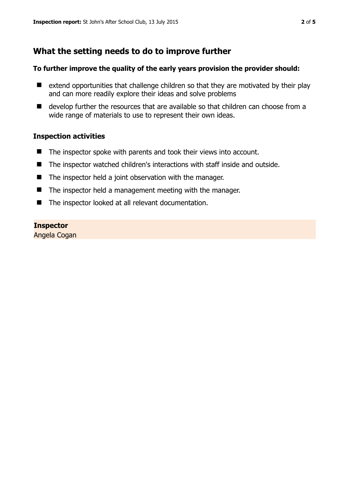# **What the setting needs to do to improve further**

#### **To further improve the quality of the early years provision the provider should:**

- $\blacksquare$  extend opportunities that challenge children so that they are motivated by their play and can more readily explore their ideas and solve problems
- develop further the resources that are available so that children can choose from a wide range of materials to use to represent their own ideas.

#### **Inspection activities**

- The inspector spoke with parents and took their views into account.
- The inspector watched children's interactions with staff inside and outside.
- The inspector held a joint observation with the manager.
- The inspector held a management meeting with the manager.
- The inspector looked at all relevant documentation.

#### **Inspector**

Angela Cogan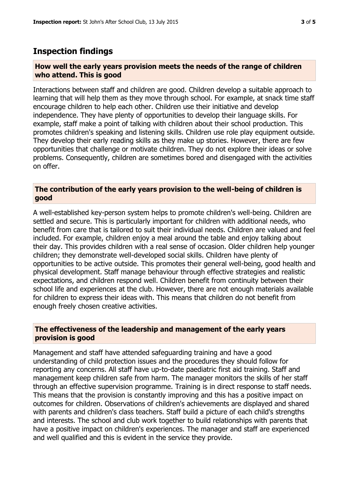## **Inspection findings**

#### **How well the early years provision meets the needs of the range of children who attend. This is good**

Interactions between staff and children are good. Children develop a suitable approach to learning that will help them as they move through school. For example, at snack time staff encourage children to help each other. Children use their initiative and develop independence. They have plenty of opportunities to develop their language skills. For example, staff make a point of talking with children about their school production. This promotes children's speaking and listening skills. Children use role play equipment outside. They develop their early reading skills as they make up stories. However, there are few opportunities that challenge or motivate children. They do not explore their ideas or solve problems. Consequently, children are sometimes bored and disengaged with the activities on offer.

#### **The contribution of the early years provision to the well-being of children is good**

A well-established key-person system helps to promote children's well-being. Children are settled and secure. This is particularly important for children with additional needs, who benefit from care that is tailored to suit their individual needs. Children are valued and feel included. For example, children enjoy a meal around the table and enjoy talking about their day. This provides children with a real sense of occasion. Older children help younger children; they demonstrate well-developed social skills. Children have plenty of opportunities to be active outside. This promotes their general well-being, good health and physical development. Staff manage behaviour through effective strategies and realistic expectations, and children respond well. Children benefit from continuity between their school life and experiences at the club. However, there are not enough materials available for children to express their ideas with. This means that children do not benefit from enough freely chosen creative activities.

#### **The effectiveness of the leadership and management of the early years provision is good**

Management and staff have attended safeguarding training and have a good understanding of child protection issues and the procedures they should follow for reporting any concerns. All staff have up-to-date paediatric first aid training. Staff and management keep children safe from harm. The manager monitors the skills of her staff through an effective supervision programme. Training is in direct response to staff needs. This means that the provision is constantly improving and this has a positive impact on outcomes for children. Observations of children's achievements are displayed and shared with parents and children's class teachers. Staff build a picture of each child's strengths and interests. The school and club work together to build relationships with parents that have a positive impact on children's experiences. The manager and staff are experienced and well qualified and this is evident in the service they provide.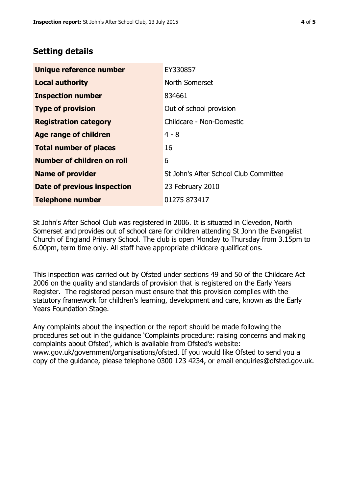## **Setting details**

| Unique reference number       | EY330857                              |  |
|-------------------------------|---------------------------------------|--|
| <b>Local authority</b>        | North Somerset                        |  |
| <b>Inspection number</b>      | 834661                                |  |
| <b>Type of provision</b>      | Out of school provision               |  |
| <b>Registration category</b>  | Childcare - Non-Domestic              |  |
| Age range of children         | $4 - 8$                               |  |
| <b>Total number of places</b> | 16                                    |  |
| Number of children on roll    | 6                                     |  |
| <b>Name of provider</b>       | St John's After School Club Committee |  |
| Date of previous inspection   | 23 February 2010                      |  |
| <b>Telephone number</b>       | 01275 873417                          |  |

St John's After School Club was registered in 2006. It is situated in Clevedon, North Somerset and provides out of school care for children attending St John the Evangelist Church of England Primary School. The club is open Monday to Thursday from 3.15pm to 6.00pm, term time only. All staff have appropriate childcare qualifications.

This inspection was carried out by Ofsted under sections 49 and 50 of the Childcare Act 2006 on the quality and standards of provision that is registered on the Early Years Register. The registered person must ensure that this provision complies with the statutory framework for children's learning, development and care, known as the Early Years Foundation Stage.

Any complaints about the inspection or the report should be made following the procedures set out in the guidance 'Complaints procedure: raising concerns and making complaints about Ofsted', which is available from Ofsted's website: www.gov.uk/government/organisations/ofsted. If you would like Ofsted to send you a copy of the guidance, please telephone 0300 123 4234, or email enquiries@ofsted.gov.uk.